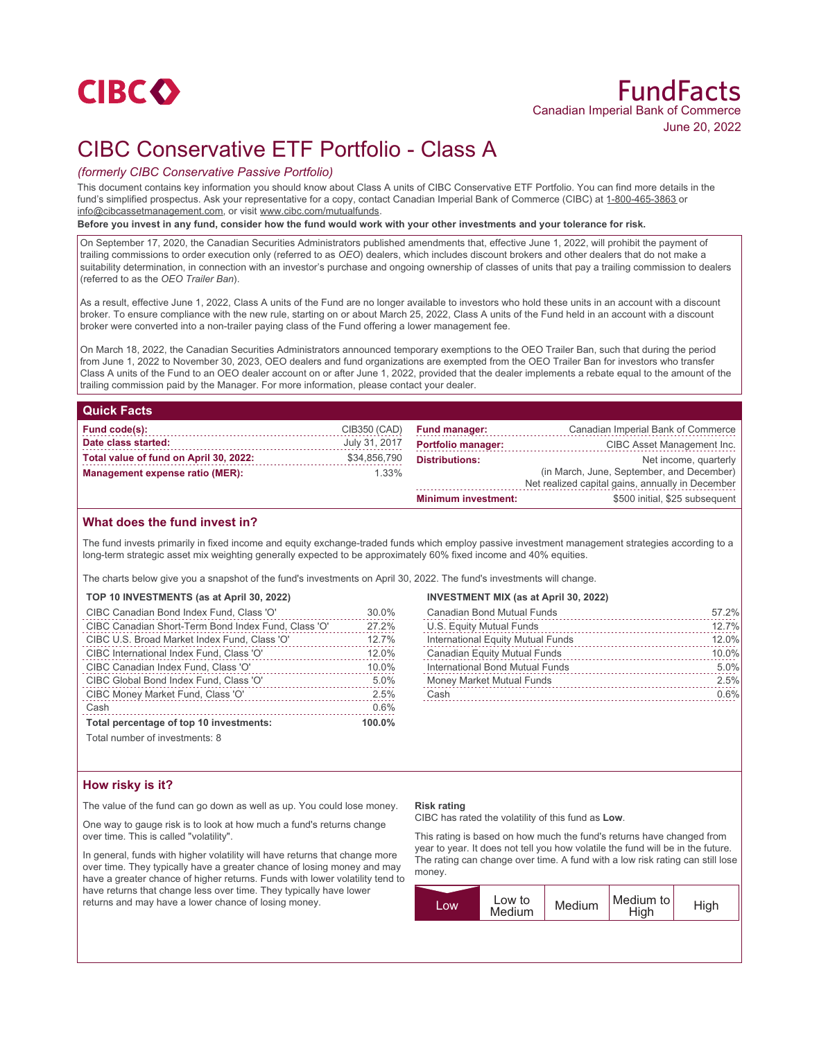

# CIBC Conservative ETF Portfolio - Class A

## *(formerly CIBC Conservative Passive Portfolio)*

This document contains key information you should know about Class A units of CIBC Conservative ETF Portfolio. You can find more details in the fund's simplified prospectus. Ask your representative for a copy, contact Canadian Imperial Bank of Commerce (CIBC) at 1-800-465-3863 or info@cibcassetmanagement.com, or visit www.cibc.com/mutualfunds.

**Before you invest in any fund, consider how the fund would work with your other investments and your tolerance for risk.**

On September 17, 2020, the Canadian Securities Administrators published amendments that, effective June 1, 2022, will prohibit the payment of trailing commissions to order execution only (referred to as *OEO*) dealers, which includes discount brokers and other dealers that do not make a suitability determination, in connection with an investor's purchase and ongoing ownership of classes of units that pay a trailing commission to dealers (referred to as the *OEO Trailer Ban*).

As a result, effective June 1, 2022, Class A units of the Fund are no longer available to investors who hold these units in an account with a discount broker. To ensure compliance with the new rule, starting on or about March 25, 2022, Class A units of the Fund held in an account with a discount broker were converted into a non-trailer paying class of the Fund offering a lower management fee.

On March 18, 2022, the Canadian Securities Administrators announced temporary exemptions to the OEO Trailer Ban, such that during the period from June 1, 2022 to November 30, 2023, OEO dealers and fund organizations are exempted from the OEO Trailer Ban for investors who transfer Class A units of the Fund to an OEO dealer account on or after June 1, 2022, provided that the dealer implements a rebate equal to the amount of the trailing commission paid by the Manager. For more information, please contact your dealer.

### **Quick Facts**

| Fund code(s):                          | CIB350 (CAD)  | <b>Fund manager:</b>       | Canadian Imperial Bank of Commerce                                                            |
|----------------------------------------|---------------|----------------------------|-----------------------------------------------------------------------------------------------|
| Date class started:                    | July 31, 2017 | <b>Portfolio manager:</b>  | CIBC Asset Management Inc.                                                                    |
| Total value of fund on April 30, 2022: | \$34,856,790  | <b>Distributions:</b>      | Net income, quarterly                                                                         |
| Management expense ratio (MER):        | 1.33%         |                            | (in March, June, September, and December)<br>Net realized capital gains, annually in December |
|                                        |               | <b>Minimum investment:</b> | \$500 initial, \$25 subsequent                                                                |

## **What does the fund invest in?**

The fund invests primarily in fixed income and equity exchange-traded funds which employ passive investment management strategies according to a long-term strategic asset mix weighting generally expected to be approximately 60% fixed income and 40% equities.

The charts below give you a snapshot of the fund's investments on April 30, 2022. The fund's investments will change.

#### **TOP 10 INVESTMENTS (as at April 30, 2022)**

| Total percentage of top 10 investments:             | 100.0% |
|-----------------------------------------------------|--------|
| Cash                                                | 0.6%   |
| CIBC Money Market Fund, Class 'O'                   | 2.5%   |
| CIBC Global Bond Index Fund, Class 'O'              | 5.0%   |
| CIBC Canadian Index Fund, Class 'O'                 | 10.0%  |
| CIBC International Index Fund, Class 'O'            | 12.0%  |
| CIBC U.S. Broad Market Index Fund, Class 'O'        | 12.7%  |
| CIBC Canadian Short-Term Bond Index Fund, Class 'O' | 27.2%  |
| CIBC Canadian Bond Index Fund, Class 'O'            | 30.0%  |

#### **INVESTMENT MIX (as at April 30, 2022)**

| Canadian Bond Mutual Funds        | 57.2% |
|-----------------------------------|-------|
| U.S. Equity Mutual Funds          | 12.7% |
| International Equity Mutual Funds | 12.0% |
| Canadian Equity Mutual Funds      | 10.0% |
| International Bond Mutual Funds   | 5.0%  |
| Money Market Mutual Funds         | 2.5%  |
| Cash                              | 0.6%  |
|                                   |       |

Total number of investments: 8

## **How risky is it?**

The value of the fund can go down as well as up. You could lose money.

One way to gauge risk is to look at how much a fund's returns change over time. This is called "volatility".

In general, funds with higher volatility will have returns that change more over time. They typically have a greater chance of losing money and may have a greater chance of higher returns. Funds with lower volatility tend to have returns that change less over time. They typically have lower returns and may have a lower chance of losing money.

#### **Risk rating**

CIBC has rated the volatility of this fund as **Low**.

This rating is based on how much the fund's returns have changed from year to year. It does not tell you how volatile the fund will be in the future. The rating can change over time. A fund with a low risk rating can still lose money.

| <b>WO.</b> | Low to<br>Medium | Medium | Medium to<br>High | High |
|------------|------------------|--------|-------------------|------|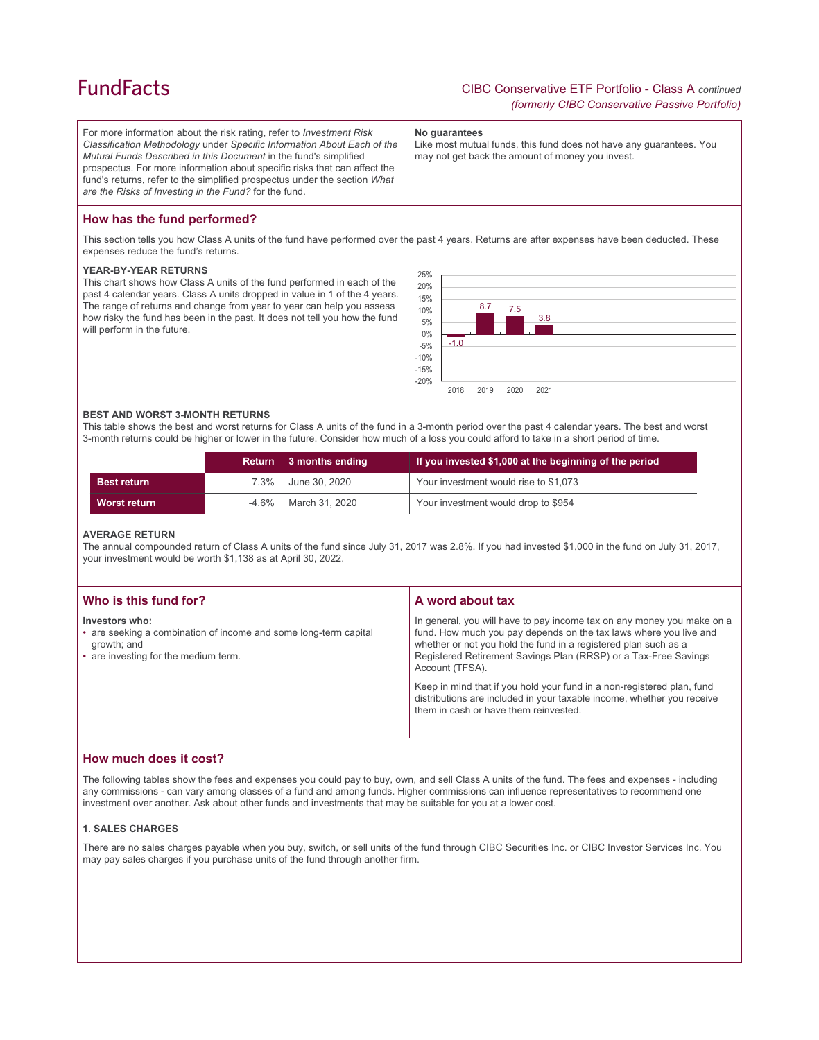# **FundFacts**

For more information about the risk rating, refer to *Investment Risk Classification Methodology* under *Specific Information About Each of the Mutual Funds Described in this Document* in the fund's simplified prospectus. For more information about specific risks that can affect the fund's returns, refer to the simplified prospectus under the section *What are the Risks of Investing in the Fund?* for the fund.

**No guarantees**

Like most mutual funds, this fund does not have any guarantees. You may not get back the amount of money you invest.

## **How has the fund performed?**

This section tells you how Class A units of the fund have performed over the past 4 years. Returns are after expenses have been deducted. These expenses reduce the fund's returns.

#### **YEAR-BY-YEAR RETURNS**

This chart shows how Class A units of the fund performed in each of the past 4 calendar years. Class A units dropped in value in 1 of the 4 years. The range of returns and change from year to year can help you assess how risky the fund has been in the past. It does not tell you how the fund will perform in the future.



#### **BEST AND WORST 3-MONTH RETURNS**

This table shows the best and worst returns for Class A units of the fund in a 3-month period over the past 4 calendar years. The best and worst 3-month returns could be higher or lower in the future. Consider how much of a loss you could afford to take in a short period of time.

|                    | Return <b>I</b> | 3 months ending | If you invested \$1,000 at the beginning of the period |
|--------------------|-----------------|-----------------|--------------------------------------------------------|
| <b>Best return</b> | $7.3\%$         | June 30, 2020   | Your investment would rise to \$1,073                  |
| Worst return       | -4.6%           | March 31, 2020  | Your investment would drop to \$954                    |

#### **AVERAGE RETURN**

The annual compounded return of Class A units of the fund since July 31, 2017 was 2.8%. If you had invested \$1,000 in the fund on July 31, 2017, your investment would be worth \$1,138 as at April 30, 2022.

| Who is this fund for?                                                                                                                     | A word about tax                                                                                                                                                                                                                                                                                     |
|-------------------------------------------------------------------------------------------------------------------------------------------|------------------------------------------------------------------------------------------------------------------------------------------------------------------------------------------------------------------------------------------------------------------------------------------------------|
| Investors who:<br>• are seeking a combination of income and some long-term capital<br>growth; and<br>• are investing for the medium term. | In general, you will have to pay income tax on any money you make on a<br>fund. How much you pay depends on the tax laws where you live and<br>whether or not you hold the fund in a registered plan such as a<br>Registered Retirement Savings Plan (RRSP) or a Tax-Free Savings<br>Account (TFSA). |
|                                                                                                                                           | Keep in mind that if you hold your fund in a non-registered plan, fund<br>distributions are included in your taxable income, whether you receive<br>them in cash or have them reinvested.                                                                                                            |

## **How much does it cost?**

The following tables show the fees and expenses you could pay to buy, own, and sell Class A units of the fund. The fees and expenses - including any commissions - can vary among classes of a fund and among funds. Higher commissions can influence representatives to recommend one investment over another. Ask about other funds and investments that may be suitable for you at a lower cost.

#### **1. SALES CHARGES**

There are no sales charges payable when you buy, switch, or sell units of the fund through CIBC Securities Inc. or CIBC Investor Services Inc. You may pay sales charges if you purchase units of the fund through another firm.